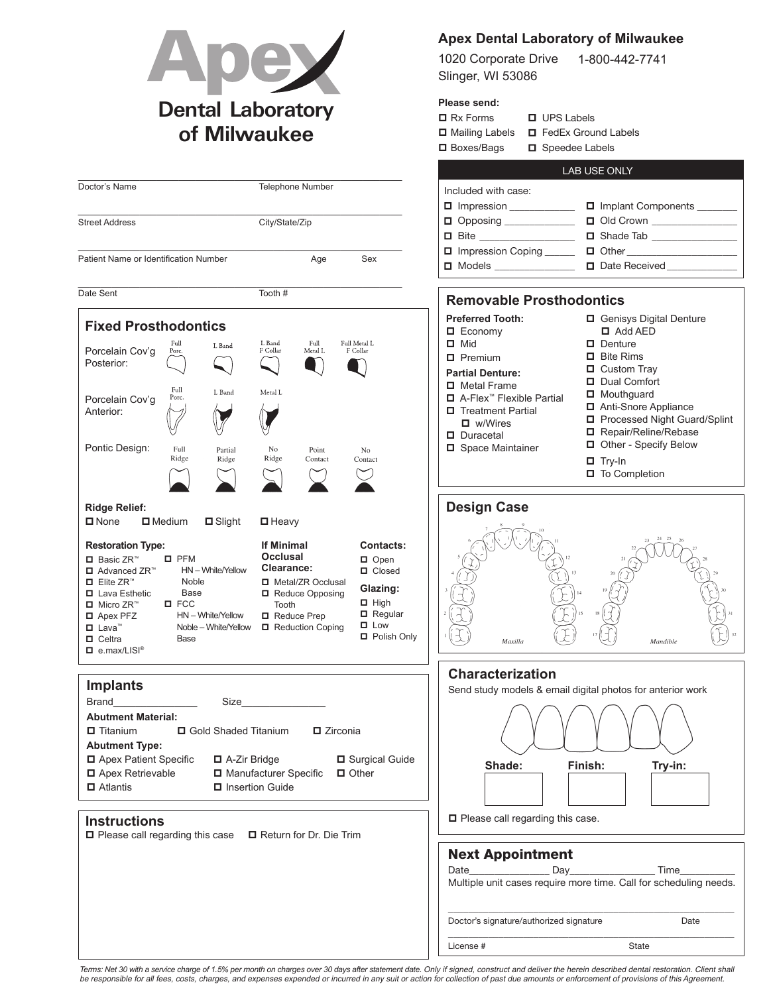

## **Apex Dental Laboratory of Milwaukee**

1020 Corporate Drive Slinger, WI 53086 1-800-442-7741

## **Please send:**

| $\Box$ Rx Forms   | $\Box$ UPS Labels            |  |
|-------------------|------------------------------|--|
| □ Mailing Labels  | <b>E</b> FedEx Ground Labels |  |
| $\Box$ Boxes/Bags | □ Speedee Labels             |  |
|                   |                              |  |

|                                                                                                                                                                                                                                                                                                                                                                                                |                                                                                                                                                                                                                                                                                   | LAB USE ONLY                                                                                                                                                                                                                                                                                                |
|------------------------------------------------------------------------------------------------------------------------------------------------------------------------------------------------------------------------------------------------------------------------------------------------------------------------------------------------------------------------------------------------|-----------------------------------------------------------------------------------------------------------------------------------------------------------------------------------------------------------------------------------------------------------------------------------|-------------------------------------------------------------------------------------------------------------------------------------------------------------------------------------------------------------------------------------------------------------------------------------------------------------|
| Doctor's Name                                                                                                                                                                                                                                                                                                                                                                                  | <b>Telephone Number</b>                                                                                                                                                                                                                                                           | Included with case:                                                                                                                                                                                                                                                                                         |
|                                                                                                                                                                                                                                                                                                                                                                                                |                                                                                                                                                                                                                                                                                   | Implant Components<br>Impression ___________                                                                                                                                                                                                                                                                |
| <b>Street Address</b>                                                                                                                                                                                                                                                                                                                                                                          | City/State/Zip                                                                                                                                                                                                                                                                    | $\Box$ Opposing _____________                                                                                                                                                                                                                                                                               |
|                                                                                                                                                                                                                                                                                                                                                                                                |                                                                                                                                                                                                                                                                                   | □ Shade Tab ________________<br>□ Bite ____________________                                                                                                                                                                                                                                                 |
| Patient Name or Identification Number                                                                                                                                                                                                                                                                                                                                                          | Age<br>Sex                                                                                                                                                                                                                                                                        | Impression Coping                                                                                                                                                                                                                                                                                           |
|                                                                                                                                                                                                                                                                                                                                                                                                |                                                                                                                                                                                                                                                                                   | □ Models _______________                                                                                                                                                                                                                                                                                    |
| Date Sent                                                                                                                                                                                                                                                                                                                                                                                      | Tooth #                                                                                                                                                                                                                                                                           |                                                                                                                                                                                                                                                                                                             |
|                                                                                                                                                                                                                                                                                                                                                                                                |                                                                                                                                                                                                                                                                                   | <b>Removable Prosthodontics</b>                                                                                                                                                                                                                                                                             |
| <b>Fixed Prosthodontics</b><br>Full<br>L Band<br>Porcelain Cov'g<br>Porc.<br>Posterior:<br>Full<br>L Band<br>Porc.<br>Porcelain Cov'g                                                                                                                                                                                                                                                          | L Band<br>Full<br>Full Metal L<br>F Collar<br>F Collar<br>Metal L<br>Metal L                                                                                                                                                                                                      | <b>Preferred Tooth:</b><br>Genisys Digital Denture<br>$\Box$ Add AED<br>$\Box$ Economy<br>$\Box$ Mid<br>$\Box$ Denture<br>$\Box$ Bite Rims<br>$\Box$ Premium<br>$\Box$ Custom Tray<br><b>Partial Denture:</b><br>Dual Comfort<br>$\Box$ Metal Frame<br>Mouthguard<br>□ A-Flex <sup>™</sup> Flexible Partial |
| Anterior:                                                                                                                                                                                                                                                                                                                                                                                      |                                                                                                                                                                                                                                                                                   | Anti-Snore Appliance<br>Treatment Partial<br>Processed Night Guard/Splint<br>$\blacksquare$ w/Wires<br>Repair/Reline/Rebase<br>$\Box$ Duracetal                                                                                                                                                             |
| Pontic Design:<br>Full<br>Partial<br>Ridge<br>Ridge                                                                                                                                                                                                                                                                                                                                            | No<br>Point<br>N <sub>o</sub><br>Ridge<br>Contact<br>Contact                                                                                                                                                                                                                      | Other - Specify Below<br>Space Maintainer<br>$\Box$ Try-In<br>To Completion                                                                                                                                                                                                                                 |
| <b>Ridge Relief:</b><br>$\square$ None<br>$\Box$ Medium<br>$\Box$ Slight                                                                                                                                                                                                                                                                                                                       | $\Box$ Heavy                                                                                                                                                                                                                                                                      | <b>Design Case</b>                                                                                                                                                                                                                                                                                          |
| <b>Restoration Type:</b><br>$D$ PFM<br>$\Box$ Basic ZR <sup>™</sup><br>HN-White/Yellow<br>□ Advanced ZR™<br>$\Box$ Elite ZR <sup>™</sup><br>Noble<br>□ Lava Esthetic<br>Base<br>$\square$ FCC<br>$\blacksquare$ Micro ZR <sup>™</sup><br>HN - White/Yellow<br><b>D</b> Apex PFZ<br>$\Box$ Lava <sup>®</sup><br>Noble - White/Yellow<br>$\Box$ Celtra<br>Base<br>$\Box$ e.max/LISI <sup>®</sup> | <b>If Minimal</b><br><b>Contacts:</b><br><b>Occlusal</b><br>$\Box$ Open<br>Clearance:<br><b>O</b> Closed<br>□ Metal/ZR Occlusal<br>Glazing:<br>Reduce Opposing<br>$\Box$ High<br>Tooth<br>$\Box$ Regular<br>Reduce Prep<br>$\Box$ Low<br>Reduction Coping<br><b>D</b> Polish Only | Maxilla<br>Mandible                                                                                                                                                                                                                                                                                         |
|                                                                                                                                                                                                                                                                                                                                                                                                |                                                                                                                                                                                                                                                                                   | <b>Characterization</b>                                                                                                                                                                                                                                                                                     |
| <b>Implants</b>                                                                                                                                                                                                                                                                                                                                                                                |                                                                                                                                                                                                                                                                                   | Send study models & email digital photos for anterior work                                                                                                                                                                                                                                                  |
| Brand<br>Size<br><b>Abutment Material:</b><br><b>□</b> Titanium<br>□ Gold Shaded Titanium<br><b>D</b> Zirconia<br><b>Abutment Type:</b><br>Apex Patient Specific<br>Surgical Guide<br>□ A-Zir Bridge<br>□ Apex Retrievable<br>□ Manufacturer Specific<br>$\Box$ Other<br>$\Box$ Atlantis<br>□ Insertion Guide                                                                                  |                                                                                                                                                                                                                                                                                   | Shade:<br>Finish:<br>Try-in:                                                                                                                                                                                                                                                                                |
| <b>Instructions</b><br>$\Box$ Please call regarding this case                                                                                                                                                                                                                                                                                                                                  | Return for Dr. Die Trim                                                                                                                                                                                                                                                           | □ Please call regarding this case.                                                                                                                                                                                                                                                                          |
|                                                                                                                                                                                                                                                                                                                                                                                                |                                                                                                                                                                                                                                                                                   | <b>Next Appointment</b><br>Date<br>Day<br>Time<br>Multiple unit cases require more time. Call for scheduling needs.                                                                                                                                                                                         |
|                                                                                                                                                                                                                                                                                                                                                                                                |                                                                                                                                                                                                                                                                                   | Doctor's signature/authorized signature<br>Date                                                                                                                                                                                                                                                             |
|                                                                                                                                                                                                                                                                                                                                                                                                |                                                                                                                                                                                                                                                                                   | License #<br>State                                                                                                                                                                                                                                                                                          |

Terms: Net 30 with a service charge of 1.5% per month on charges over 30 days after statement date. Only if signed, construct and deliver the herein described dental restoration. Client shall<br>be responsible for all fees, c